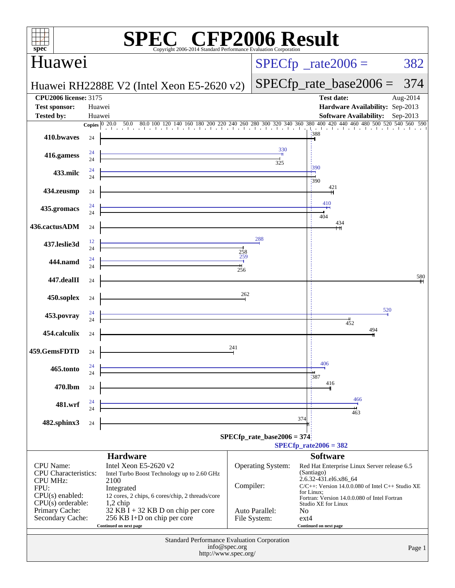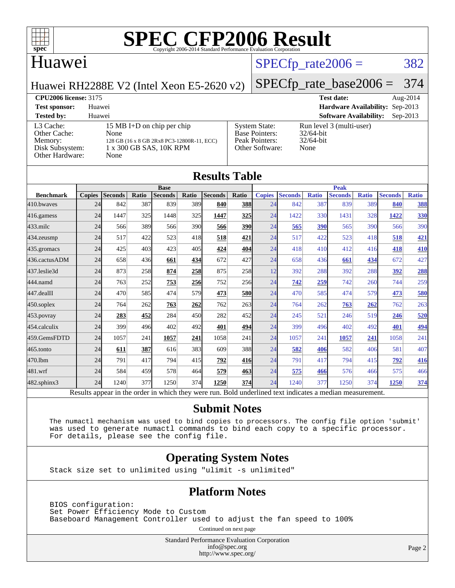

# **[SPEC CFP2006 Result](http://www.spec.org/auto/cpu2006/Docs/result-fields.html#SPECCFP2006Result)**

## Huawei

### $SPECTp_rate2006 = 382$

[System State:](http://www.spec.org/auto/cpu2006/Docs/result-fields.html#SystemState) Run level 3 (multi-user)<br>Base Pointers: 32/64-bit

[Peak Pointers:](http://www.spec.org/auto/cpu2006/Docs/result-fields.html#PeakPointers) 32/64-bit [Other Software:](http://www.spec.org/auto/cpu2006/Docs/result-fields.html#OtherSoftware) None

[Base Pointers:](http://www.spec.org/auto/cpu2006/Docs/result-fields.html#BasePointers)

Huawei RH2288E V2 (Intel Xeon E5-2620 v2)

### [SPECfp\\_rate\\_base2006 =](http://www.spec.org/auto/cpu2006/Docs/result-fields.html#SPECfpratebase2006) 374

**[CPU2006 license:](http://www.spec.org/auto/cpu2006/Docs/result-fields.html#CPU2006license)** 3175 **[Test date:](http://www.spec.org/auto/cpu2006/Docs/result-fields.html#Testdate)** Aug-2014 **[Test sponsor:](http://www.spec.org/auto/cpu2006/Docs/result-fields.html#Testsponsor)** Huawei **[Hardware Availability:](http://www.spec.org/auto/cpu2006/Docs/result-fields.html#HardwareAvailability)** Sep-2013 **[Tested by:](http://www.spec.org/auto/cpu2006/Docs/result-fields.html#Testedby)** Huawei **[Software Availability:](http://www.spec.org/auto/cpu2006/Docs/result-fields.html#SoftwareAvailability)** Sep-2013

| <b>Tested by:</b>   | Huawei                                     |
|---------------------|--------------------------------------------|
| L3 Cache:           | 15 MB I+D on chip per chip                 |
| <b>Other Cache:</b> | None                                       |
| Memory:             | 128 GB (16 x 8 GB 2Rx8 PC3-12800R-11, ECC) |
| Disk Subsystem:     | 1 x 300 GB SAS, 10K RPM                    |
| Other Hardware:     | None                                       |
|                     |                                            |

|                  |               |                |       |                                                                                                          |       | <b>Results Table</b> |            |               |                |              |                |              |                  |              |
|------------------|---------------|----------------|-------|----------------------------------------------------------------------------------------------------------|-------|----------------------|------------|---------------|----------------|--------------|----------------|--------------|------------------|--------------|
|                  |               |                |       | <b>Base</b>                                                                                              |       |                      |            |               |                |              | <b>Peak</b>    |              |                  |              |
| <b>Benchmark</b> | <b>Copies</b> | <b>Seconds</b> | Ratio | <b>Seconds</b>                                                                                           | Ratio | <b>Seconds</b>       | Ratio      | <b>Copies</b> | <b>Seconds</b> | <b>Ratio</b> | <b>Seconds</b> | <b>Ratio</b> | <b>Seconds</b>   | <b>Ratio</b> |
| 410.bwayes       | 24            | 842            | 387   | 839                                                                                                      | 389   | 840                  | 388        | 24            | 842            | 387          | 839            | 389          | 840              | 388          |
| 416.gamess       | 24            | 1447           | 325   | 1448                                                                                                     | 325   | 1447                 | 325        | 24            | 1422           | 330          | 1431           | 328          | 1422             | 330          |
| $433$ .milc      | 24            | 566            | 389   | 566                                                                                                      | 390   | 566                  | <b>390</b> | 24            | 565            | 390          | 565            | 390          | 566              | 390          |
| 434.zeusmp       | 24            | 517            | 422   | 523                                                                                                      | 418   | 518                  | 421        | 24            | 517            | 422          | 523            | 418          | 518              | 421          |
| 435.gromacs      | 24            | 425            | 403   | 423                                                                                                      | 405   | 424                  | 404        | 24            | 418            | 410          | 412            | 416          | 418              | 410          |
| 436.cactusADM    | 24            | 658            | 436   | 661                                                                                                      | 434   | 672                  | 427        | 24            | 658            | 436          | 661            | 434          | 672              | 427          |
| 437.leslie3d     | 24            | 873            | 258   | 874                                                                                                      | 258   | 875                  | 258        | 12            | 392            | 288          | 392            | 288          | 392              | 288          |
| 444.namd         | 24            | 763            | 252   | 753                                                                                                      | 256   | 752                  | 256        | 24            | 742            | 259          | 742            | 260          | 744              | 259          |
| 447.dealII       | 24            | 470            | 585   | 474                                                                                                      | 579   | 473                  | <b>580</b> | 24            | 470            | 585          | 474            | 579          | 473              | 580          |
| $450$ .soplex    | 24            | 764            | 262   | 763                                                                                                      | 262   | 762                  | 263        | 24            | 764            | 262          | 763            | 262          | 762              | 263          |
| 453.povray       | 24            | 283            | 452   | 284                                                                                                      | 450   | 282                  | 452        | 24            | 245            | 521          | 246            | 519          | 246              | 520          |
| 454.calculix     | 24            | 399            | 496   | 402                                                                                                      | 492   | 401                  | 494        | 24            | 399            | 496          | 402            | 492          | 401              | 494          |
| 459.GemsFDTD     | 24            | 1057           | 241   | 1057                                                                                                     | 241   | 1058                 | 241        | 24            | 1057           | 241          | 1057           | 241          | 1058             | 241          |
| 465.tonto        | 24            | 611            | 387   | 616                                                                                                      | 383   | 609                  | 388        | 24            | 582            | 406          | 582            | 406          | 581              | 407          |
| 470.1bm          | 24            | 791            | 417   | 794                                                                                                      | 415   | 792                  | 416        | 24            | 791            | 417          | 794            | 415          | $\overline{792}$ | 416          |
| 481.wrf          | 24            | 584            | 459   | 578                                                                                                      | 464   | 579                  | 463        | 24            | 575            | 466          | 576            | 466          | 575              | 466          |
| 482.sphinx3      | 24            | 1240           | 377   | 1250                                                                                                     | 374   | 1250                 | 374        | 24            | 1240           | 377          | 1250           | 374          | 1250             | 374          |
|                  |               |                |       | Results appear in the order in which they were run. Bold underlined text indicates a median measurement. |       |                      |            |               |                |              |                |              |                  |              |

### **[Submit Notes](http://www.spec.org/auto/cpu2006/Docs/result-fields.html#SubmitNotes)**

 The numactl mechanism was used to bind copies to processors. The config file option 'submit' was used to generate numactl commands to bind each copy to a specific processor. For details, please see the config file.

### **[Operating System Notes](http://www.spec.org/auto/cpu2006/Docs/result-fields.html#OperatingSystemNotes)**

Stack size set to unlimited using "ulimit -s unlimited"

### **[Platform Notes](http://www.spec.org/auto/cpu2006/Docs/result-fields.html#PlatformNotes)**

 BIOS configuration: Set Power Efficiency Mode to Custom Baseboard Management Controller used to adjust the fan speed to 100%

Continued on next page

Standard Performance Evaluation Corporation [info@spec.org](mailto:info@spec.org) <http://www.spec.org/>

Page 2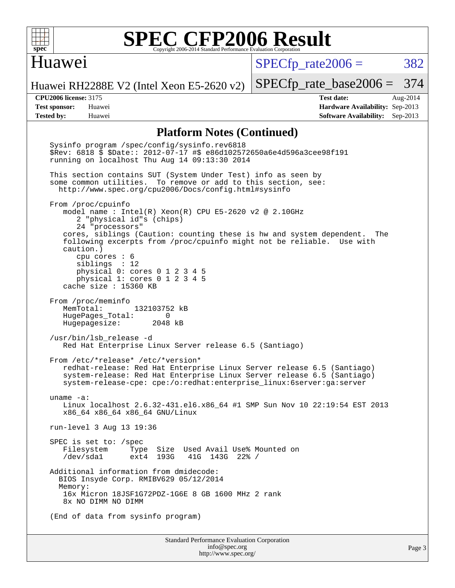

### Huawei

 $SPECTp\_rate2006 = 382$ 

[SPECfp\\_rate\\_base2006 =](http://www.spec.org/auto/cpu2006/Docs/result-fields.html#SPECfpratebase2006) 374

Huawei RH2288E V2 (Intel Xeon E5-2620 v2)

**[Tested by:](http://www.spec.org/auto/cpu2006/Docs/result-fields.html#Testedby)** Huawei **[Software Availability:](http://www.spec.org/auto/cpu2006/Docs/result-fields.html#SoftwareAvailability)** Sep-2013

**[CPU2006 license:](http://www.spec.org/auto/cpu2006/Docs/result-fields.html#CPU2006license)** 3175 **[Test date:](http://www.spec.org/auto/cpu2006/Docs/result-fields.html#Testdate)** Aug-2014 **[Test sponsor:](http://www.spec.org/auto/cpu2006/Docs/result-fields.html#Testsponsor)** Huawei **[Hardware Availability:](http://www.spec.org/auto/cpu2006/Docs/result-fields.html#HardwareAvailability)** Sep-2013

#### **[Platform Notes \(Continued\)](http://www.spec.org/auto/cpu2006/Docs/result-fields.html#PlatformNotes)**

Standard Performance Evaluation Corporation [info@spec.org](mailto:info@spec.org) Sysinfo program /spec/config/sysinfo.rev6818 \$Rev: 6818 \$ \$Date:: 2012-07-17 #\$ e86d102572650a6e4d596a3cee98f191 running on localhost Thu Aug 14 09:13:30 2014 This section contains SUT (System Under Test) info as seen by some common utilities. To remove or add to this section, see: <http://www.spec.org/cpu2006/Docs/config.html#sysinfo> From /proc/cpuinfo model name : Intel(R) Xeon(R) CPU E5-2620 v2 @ 2.10GHz 2 "physical id"s (chips) 24 "processors" cores, siblings (Caution: counting these is hw and system dependent. The following excerpts from /proc/cpuinfo might not be reliable. Use with caution.) cpu cores : 6 siblings : 12 physical 0: cores 0 1 2 3 4 5 physical 1: cores 0 1 2 3 4 5 cache size : 15360 KB From /proc/meminfo<br>MemTotal: 132103752 kB HugePages\_Total: 0<br>Hugepagesize: 2048 kB Hugepagesize: /usr/bin/lsb\_release -d Red Hat Enterprise Linux Server release 6.5 (Santiago) From /etc/\*release\* /etc/\*version\* redhat-release: Red Hat Enterprise Linux Server release 6.5 (Santiago) system-release: Red Hat Enterprise Linux Server release 6.5 (Santiago) system-release-cpe: cpe:/o:redhat:enterprise\_linux:6server:ga:server uname -a: Linux localhost 2.6.32-431.el6.x86\_64 #1 SMP Sun Nov 10 22:19:54 EST 2013 x86\_64 x86\_64 x86\_64 GNU/Linux run-level 3 Aug 13 19:36 SPEC is set to: /spec Filesystem Type Size Used Avail Use% Mounted on /dev/sda1 ext4 193G 41G 143G 22% / Additional information from dmidecode: BIOS Insyde Corp. RMIBV629 05/12/2014 Memory: 16x Micron 18JSF1G72PDZ-1G6E 8 GB 1600 MHz 2 rank 8x NO DIMM NO DIMM (End of data from sysinfo program)

<http://www.spec.org/>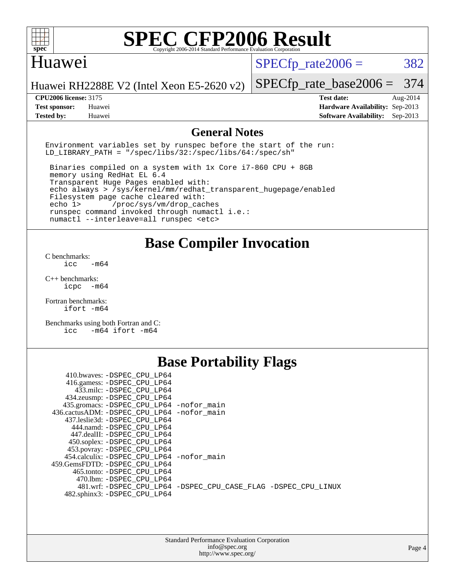

### Huawei

 $SPECTp\_rate2006 = 382$ 

Huawei RH2288E V2 (Intel Xeon E5-2620 v2)

#### **[CPU2006 license:](http://www.spec.org/auto/cpu2006/Docs/result-fields.html#CPU2006license)** 3175 **[Test date:](http://www.spec.org/auto/cpu2006/Docs/result-fields.html#Testdate)** Aug-2014

[SPECfp\\_rate\\_base2006 =](http://www.spec.org/auto/cpu2006/Docs/result-fields.html#SPECfpratebase2006) 374

**[Test sponsor:](http://www.spec.org/auto/cpu2006/Docs/result-fields.html#Testsponsor)** Huawei **[Hardware Availability:](http://www.spec.org/auto/cpu2006/Docs/result-fields.html#HardwareAvailability)** Sep-2013 **[Tested by:](http://www.spec.org/auto/cpu2006/Docs/result-fields.html#Testedby)** Huawei **[Software Availability:](http://www.spec.org/auto/cpu2006/Docs/result-fields.html#SoftwareAvailability)** Sep-2013

### **[General Notes](http://www.spec.org/auto/cpu2006/Docs/result-fields.html#GeneralNotes)**

Environment variables set by runspec before the start of the run: LD LIBRARY PATH = "/spec/libs/32:/spec/libs/64:/spec/sh"

 Binaries compiled on a system with 1x Core i7-860 CPU + 8GB memory using RedHat EL 6.4 Transparent Huge Pages enabled with: echo always > /sys/kernel/mm/redhat\_transparent\_hugepage/enabled Filesystem page cache cleared with: echo 1> /proc/sys/vm/drop\_caches runspec command invoked through numactl i.e.: numactl --interleave=all runspec <etc>

### **[Base Compiler Invocation](http://www.spec.org/auto/cpu2006/Docs/result-fields.html#BaseCompilerInvocation)**

[C benchmarks](http://www.spec.org/auto/cpu2006/Docs/result-fields.html#Cbenchmarks):  $\text{icc}$   $-\text{m64}$ 

[C++ benchmarks:](http://www.spec.org/auto/cpu2006/Docs/result-fields.html#CXXbenchmarks) [icpc -m64](http://www.spec.org/cpu2006/results/res2014q3/cpu2006-20140829-31093.flags.html#user_CXXbase_intel_icpc_64bit_bedb90c1146cab66620883ef4f41a67e)

[Fortran benchmarks](http://www.spec.org/auto/cpu2006/Docs/result-fields.html#Fortranbenchmarks): [ifort -m64](http://www.spec.org/cpu2006/results/res2014q3/cpu2006-20140829-31093.flags.html#user_FCbase_intel_ifort_64bit_ee9d0fb25645d0210d97eb0527dcc06e)

[Benchmarks using both Fortran and C](http://www.spec.org/auto/cpu2006/Docs/result-fields.html#BenchmarksusingbothFortranandC): [icc -m64](http://www.spec.org/cpu2006/results/res2014q3/cpu2006-20140829-31093.flags.html#user_CC_FCbase_intel_icc_64bit_0b7121f5ab7cfabee23d88897260401c) [ifort -m64](http://www.spec.org/cpu2006/results/res2014q3/cpu2006-20140829-31093.flags.html#user_CC_FCbase_intel_ifort_64bit_ee9d0fb25645d0210d97eb0527dcc06e)

### **[Base Portability Flags](http://www.spec.org/auto/cpu2006/Docs/result-fields.html#BasePortabilityFlags)**

| 410.bwaves: -DSPEC CPU LP64                  |                                                                |
|----------------------------------------------|----------------------------------------------------------------|
| 416.gamess: -DSPEC_CPU_LP64                  |                                                                |
| 433.milc: -DSPEC CPU LP64                    |                                                                |
| 434.zeusmp: - DSPEC_CPU_LP64                 |                                                                |
| 435.gromacs: -DSPEC_CPU_LP64 -nofor_main     |                                                                |
| 436.cactusADM: - DSPEC CPU LP64 - nofor main |                                                                |
| 437.leslie3d: -DSPEC CPU LP64                |                                                                |
| 444.namd: -DSPEC CPU LP64                    |                                                                |
| 447.dealII: -DSPEC CPU LP64                  |                                                                |
| 450.soplex: -DSPEC_CPU_LP64                  |                                                                |
| 453.povray: -DSPEC_CPU_LP64                  |                                                                |
| 454.calculix: -DSPEC CPU LP64 -nofor main    |                                                                |
| 459.GemsFDTD: -DSPEC CPU LP64                |                                                                |
| 465.tonto: - DSPEC CPU LP64                  |                                                                |
| 470.1bm: - DSPEC CPU LP64                    |                                                                |
|                                              | 481.wrf: -DSPEC_CPU_LP64 -DSPEC_CPU_CASE_FLAG -DSPEC_CPU_LINUX |
| 482.sphinx3: -DSPEC_CPU_LP64                 |                                                                |
|                                              |                                                                |

| <b>Standard Performance Evaluation Corporation</b> |
|----------------------------------------------------|
| info@spec.org                                      |
| http://www.spec.org/                               |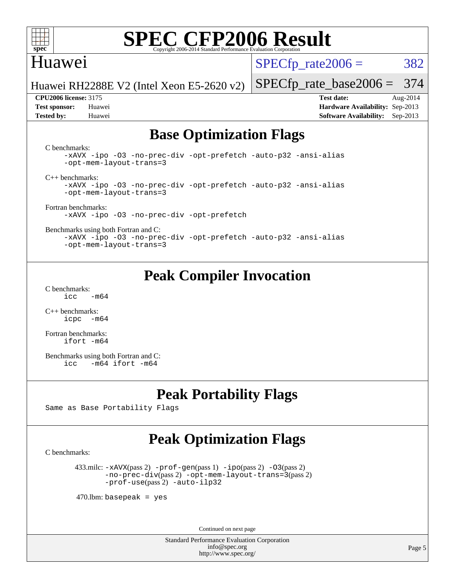

### Huawei

 $SPECTp\_rate2006 = 382$ 

Huawei RH2288E V2 (Intel Xeon E5-2620 v2)

**[Tested by:](http://www.spec.org/auto/cpu2006/Docs/result-fields.html#Testedby)** Huawei **[Software Availability:](http://www.spec.org/auto/cpu2006/Docs/result-fields.html#SoftwareAvailability)** Sep-2013

[SPECfp\\_rate\\_base2006 =](http://www.spec.org/auto/cpu2006/Docs/result-fields.html#SPECfpratebase2006) 374 **[CPU2006 license:](http://www.spec.org/auto/cpu2006/Docs/result-fields.html#CPU2006license)** 3175 **[Test date:](http://www.spec.org/auto/cpu2006/Docs/result-fields.html#Testdate)** Aug-2014 **[Test sponsor:](http://www.spec.org/auto/cpu2006/Docs/result-fields.html#Testsponsor)** Huawei **[Hardware Availability:](http://www.spec.org/auto/cpu2006/Docs/result-fields.html#HardwareAvailability)** Sep-2013

## **[Base Optimization Flags](http://www.spec.org/auto/cpu2006/Docs/result-fields.html#BaseOptimizationFlags)**

[C benchmarks](http://www.spec.org/auto/cpu2006/Docs/result-fields.html#Cbenchmarks):

[-xAVX](http://www.spec.org/cpu2006/results/res2014q3/cpu2006-20140829-31093.flags.html#user_CCbase_f-xAVX) [-ipo](http://www.spec.org/cpu2006/results/res2014q3/cpu2006-20140829-31093.flags.html#user_CCbase_f-ipo) [-O3](http://www.spec.org/cpu2006/results/res2014q3/cpu2006-20140829-31093.flags.html#user_CCbase_f-O3) [-no-prec-div](http://www.spec.org/cpu2006/results/res2014q3/cpu2006-20140829-31093.flags.html#user_CCbase_f-no-prec-div) [-opt-prefetch](http://www.spec.org/cpu2006/results/res2014q3/cpu2006-20140829-31093.flags.html#user_CCbase_f-opt-prefetch) [-auto-p32](http://www.spec.org/cpu2006/results/res2014q3/cpu2006-20140829-31093.flags.html#user_CCbase_f-auto-p32) [-ansi-alias](http://www.spec.org/cpu2006/results/res2014q3/cpu2006-20140829-31093.flags.html#user_CCbase_f-ansi-alias) [-opt-mem-layout-trans=3](http://www.spec.org/cpu2006/results/res2014q3/cpu2006-20140829-31093.flags.html#user_CCbase_f-opt-mem-layout-trans_a7b82ad4bd7abf52556d4961a2ae94d5)

[C++ benchmarks:](http://www.spec.org/auto/cpu2006/Docs/result-fields.html#CXXbenchmarks)

[-xAVX](http://www.spec.org/cpu2006/results/res2014q3/cpu2006-20140829-31093.flags.html#user_CXXbase_f-xAVX) [-ipo](http://www.spec.org/cpu2006/results/res2014q3/cpu2006-20140829-31093.flags.html#user_CXXbase_f-ipo) [-O3](http://www.spec.org/cpu2006/results/res2014q3/cpu2006-20140829-31093.flags.html#user_CXXbase_f-O3) [-no-prec-div](http://www.spec.org/cpu2006/results/res2014q3/cpu2006-20140829-31093.flags.html#user_CXXbase_f-no-prec-div) [-opt-prefetch](http://www.spec.org/cpu2006/results/res2014q3/cpu2006-20140829-31093.flags.html#user_CXXbase_f-opt-prefetch) [-auto-p32](http://www.spec.org/cpu2006/results/res2014q3/cpu2006-20140829-31093.flags.html#user_CXXbase_f-auto-p32) [-ansi-alias](http://www.spec.org/cpu2006/results/res2014q3/cpu2006-20140829-31093.flags.html#user_CXXbase_f-ansi-alias) [-opt-mem-layout-trans=3](http://www.spec.org/cpu2006/results/res2014q3/cpu2006-20140829-31093.flags.html#user_CXXbase_f-opt-mem-layout-trans_a7b82ad4bd7abf52556d4961a2ae94d5)

[Fortran benchmarks](http://www.spec.org/auto/cpu2006/Docs/result-fields.html#Fortranbenchmarks):

[-xAVX](http://www.spec.org/cpu2006/results/res2014q3/cpu2006-20140829-31093.flags.html#user_FCbase_f-xAVX) [-ipo](http://www.spec.org/cpu2006/results/res2014q3/cpu2006-20140829-31093.flags.html#user_FCbase_f-ipo) [-O3](http://www.spec.org/cpu2006/results/res2014q3/cpu2006-20140829-31093.flags.html#user_FCbase_f-O3) [-no-prec-div](http://www.spec.org/cpu2006/results/res2014q3/cpu2006-20140829-31093.flags.html#user_FCbase_f-no-prec-div) [-opt-prefetch](http://www.spec.org/cpu2006/results/res2014q3/cpu2006-20140829-31093.flags.html#user_FCbase_f-opt-prefetch)

[Benchmarks using both Fortran and C](http://www.spec.org/auto/cpu2006/Docs/result-fields.html#BenchmarksusingbothFortranandC):

[-xAVX](http://www.spec.org/cpu2006/results/res2014q3/cpu2006-20140829-31093.flags.html#user_CC_FCbase_f-xAVX) [-ipo](http://www.spec.org/cpu2006/results/res2014q3/cpu2006-20140829-31093.flags.html#user_CC_FCbase_f-ipo) [-O3](http://www.spec.org/cpu2006/results/res2014q3/cpu2006-20140829-31093.flags.html#user_CC_FCbase_f-O3) [-no-prec-div](http://www.spec.org/cpu2006/results/res2014q3/cpu2006-20140829-31093.flags.html#user_CC_FCbase_f-no-prec-div) [-opt-prefetch](http://www.spec.org/cpu2006/results/res2014q3/cpu2006-20140829-31093.flags.html#user_CC_FCbase_f-opt-prefetch) [-auto-p32](http://www.spec.org/cpu2006/results/res2014q3/cpu2006-20140829-31093.flags.html#user_CC_FCbase_f-auto-p32) [-ansi-alias](http://www.spec.org/cpu2006/results/res2014q3/cpu2006-20140829-31093.flags.html#user_CC_FCbase_f-ansi-alias) [-opt-mem-layout-trans=3](http://www.spec.org/cpu2006/results/res2014q3/cpu2006-20140829-31093.flags.html#user_CC_FCbase_f-opt-mem-layout-trans_a7b82ad4bd7abf52556d4961a2ae94d5)

## **[Peak Compiler Invocation](http://www.spec.org/auto/cpu2006/Docs/result-fields.html#PeakCompilerInvocation)**

[C benchmarks](http://www.spec.org/auto/cpu2006/Docs/result-fields.html#Cbenchmarks):  $\text{icc}$  -m64

[C++ benchmarks:](http://www.spec.org/auto/cpu2006/Docs/result-fields.html#CXXbenchmarks) [icpc -m64](http://www.spec.org/cpu2006/results/res2014q3/cpu2006-20140829-31093.flags.html#user_CXXpeak_intel_icpc_64bit_bedb90c1146cab66620883ef4f41a67e)

[Fortran benchmarks](http://www.spec.org/auto/cpu2006/Docs/result-fields.html#Fortranbenchmarks): [ifort -m64](http://www.spec.org/cpu2006/results/res2014q3/cpu2006-20140829-31093.flags.html#user_FCpeak_intel_ifort_64bit_ee9d0fb25645d0210d97eb0527dcc06e)

[Benchmarks using both Fortran and C](http://www.spec.org/auto/cpu2006/Docs/result-fields.html#BenchmarksusingbothFortranandC): [icc -m64](http://www.spec.org/cpu2006/results/res2014q3/cpu2006-20140829-31093.flags.html#user_CC_FCpeak_intel_icc_64bit_0b7121f5ab7cfabee23d88897260401c) [ifort -m64](http://www.spec.org/cpu2006/results/res2014q3/cpu2006-20140829-31093.flags.html#user_CC_FCpeak_intel_ifort_64bit_ee9d0fb25645d0210d97eb0527dcc06e)

### **[Peak Portability Flags](http://www.spec.org/auto/cpu2006/Docs/result-fields.html#PeakPortabilityFlags)**

Same as Base Portability Flags

### **[Peak Optimization Flags](http://www.spec.org/auto/cpu2006/Docs/result-fields.html#PeakOptimizationFlags)**

[C benchmarks](http://www.spec.org/auto/cpu2006/Docs/result-fields.html#Cbenchmarks):

 433.milc: [-xAVX](http://www.spec.org/cpu2006/results/res2014q3/cpu2006-20140829-31093.flags.html#user_peakPASS2_CFLAGSPASS2_LDFLAGS433_milc_f-xAVX)(pass 2) [-prof-gen](http://www.spec.org/cpu2006/results/res2014q3/cpu2006-20140829-31093.flags.html#user_peakPASS1_CFLAGSPASS1_LDFLAGS433_milc_prof_gen_e43856698f6ca7b7e442dfd80e94a8fc)(pass 1) [-ipo](http://www.spec.org/cpu2006/results/res2014q3/cpu2006-20140829-31093.flags.html#user_peakPASS2_CFLAGSPASS2_LDFLAGS433_milc_f-ipo)(pass 2) [-O3](http://www.spec.org/cpu2006/results/res2014q3/cpu2006-20140829-31093.flags.html#user_peakPASS2_CFLAGSPASS2_LDFLAGS433_milc_f-O3)(pass 2) [-no-prec-div](http://www.spec.org/cpu2006/results/res2014q3/cpu2006-20140829-31093.flags.html#user_peakPASS2_CFLAGSPASS2_LDFLAGS433_milc_f-no-prec-div)(pass 2) [-opt-mem-layout-trans=3](http://www.spec.org/cpu2006/results/res2014q3/cpu2006-20140829-31093.flags.html#user_peakPASS2_CFLAGS433_milc_f-opt-mem-layout-trans_a7b82ad4bd7abf52556d4961a2ae94d5)(pass 2) [-prof-use](http://www.spec.org/cpu2006/results/res2014q3/cpu2006-20140829-31093.flags.html#user_peakPASS2_CFLAGSPASS2_LDFLAGS433_milc_prof_use_bccf7792157ff70d64e32fe3e1250b55)(pass 2) [-auto-ilp32](http://www.spec.org/cpu2006/results/res2014q3/cpu2006-20140829-31093.flags.html#user_peakCOPTIMIZE433_milc_f-auto-ilp32)

 $470$ .lbm: basepeak = yes

Continued on next page

Standard Performance Evaluation Corporation [info@spec.org](mailto:info@spec.org) <http://www.spec.org/>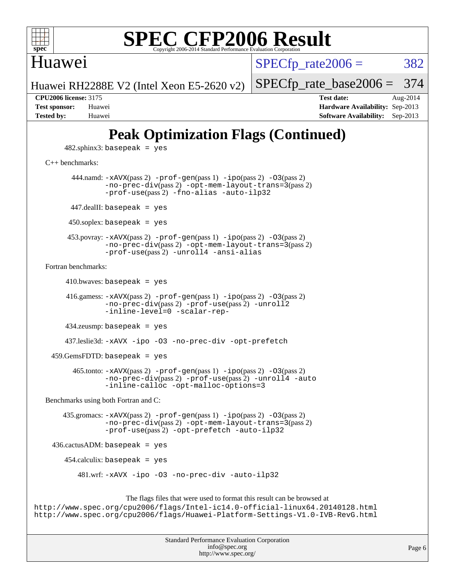

### Huawei

 $SPECTp\_rate2006 = 382$ 

[SPECfp\\_rate\\_base2006 =](http://www.spec.org/auto/cpu2006/Docs/result-fields.html#SPECfpratebase2006) 374

Huawei RH2288E V2 (Intel Xeon E5-2620 v2)

**[Tested by:](http://www.spec.org/auto/cpu2006/Docs/result-fields.html#Testedby)** Huawei **[Software Availability:](http://www.spec.org/auto/cpu2006/Docs/result-fields.html#SoftwareAvailability)** Sep-2013

**[CPU2006 license:](http://www.spec.org/auto/cpu2006/Docs/result-fields.html#CPU2006license)** 3175 **[Test date:](http://www.spec.org/auto/cpu2006/Docs/result-fields.html#Testdate)** Aug-2014 **[Test sponsor:](http://www.spec.org/auto/cpu2006/Docs/result-fields.html#Testsponsor)** Huawei **[Hardware Availability:](http://www.spec.org/auto/cpu2006/Docs/result-fields.html#HardwareAvailability)** Sep-2013

## **[Peak Optimization Flags \(Continued\)](http://www.spec.org/auto/cpu2006/Docs/result-fields.html#PeakOptimizationFlags)**

 $482$ .sphinx $3$ : basepeak = yes

[C++ benchmarks:](http://www.spec.org/auto/cpu2006/Docs/result-fields.html#CXXbenchmarks)

444.namd:  $-x$ AVX(pass 2)  $-p$ rof-gen(pass 1)  $-p$ ipo(pass 2)  $-03$ (pass 2) [-no-prec-div](http://www.spec.org/cpu2006/results/res2014q3/cpu2006-20140829-31093.flags.html#user_peakPASS2_CXXFLAGSPASS2_LDFLAGS444_namd_f-no-prec-div)(pass 2) [-opt-mem-layout-trans=3](http://www.spec.org/cpu2006/results/res2014q3/cpu2006-20140829-31093.flags.html#user_peakPASS2_CXXFLAGS444_namd_f-opt-mem-layout-trans_a7b82ad4bd7abf52556d4961a2ae94d5)(pass 2) [-prof-use](http://www.spec.org/cpu2006/results/res2014q3/cpu2006-20140829-31093.flags.html#user_peakPASS2_CXXFLAGSPASS2_LDFLAGS444_namd_prof_use_bccf7792157ff70d64e32fe3e1250b55)(pass 2) [-fno-alias](http://www.spec.org/cpu2006/results/res2014q3/cpu2006-20140829-31093.flags.html#user_peakCXXOPTIMIZE444_namd_f-no-alias_694e77f6c5a51e658e82ccff53a9e63a) [-auto-ilp32](http://www.spec.org/cpu2006/results/res2014q3/cpu2006-20140829-31093.flags.html#user_peakCXXOPTIMIZE444_namd_f-auto-ilp32)  $447$ .dealII: basepeak = yes 450.soplex: basepeak = yes 453.povray: [-xAVX](http://www.spec.org/cpu2006/results/res2014q3/cpu2006-20140829-31093.flags.html#user_peakPASS2_CXXFLAGSPASS2_LDFLAGS453_povray_f-xAVX)(pass 2) [-prof-gen](http://www.spec.org/cpu2006/results/res2014q3/cpu2006-20140829-31093.flags.html#user_peakPASS1_CXXFLAGSPASS1_LDFLAGS453_povray_prof_gen_e43856698f6ca7b7e442dfd80e94a8fc)(pass 1) [-ipo](http://www.spec.org/cpu2006/results/res2014q3/cpu2006-20140829-31093.flags.html#user_peakPASS2_CXXFLAGSPASS2_LDFLAGS453_povray_f-ipo)(pass 2) [-O3](http://www.spec.org/cpu2006/results/res2014q3/cpu2006-20140829-31093.flags.html#user_peakPASS2_CXXFLAGSPASS2_LDFLAGS453_povray_f-O3)(pass 2) [-no-prec-div](http://www.spec.org/cpu2006/results/res2014q3/cpu2006-20140829-31093.flags.html#user_peakPASS2_CXXFLAGSPASS2_LDFLAGS453_povray_f-no-prec-div)(pass 2) [-opt-mem-layout-trans=3](http://www.spec.org/cpu2006/results/res2014q3/cpu2006-20140829-31093.flags.html#user_peakPASS2_CXXFLAGS453_povray_f-opt-mem-layout-trans_a7b82ad4bd7abf52556d4961a2ae94d5)(pass 2) [-prof-use](http://www.spec.org/cpu2006/results/res2014q3/cpu2006-20140829-31093.flags.html#user_peakPASS2_CXXFLAGSPASS2_LDFLAGS453_povray_prof_use_bccf7792157ff70d64e32fe3e1250b55)(pass 2) [-unroll4](http://www.spec.org/cpu2006/results/res2014q3/cpu2006-20140829-31093.flags.html#user_peakCXXOPTIMIZE453_povray_f-unroll_4e5e4ed65b7fd20bdcd365bec371b81f) [-ansi-alias](http://www.spec.org/cpu2006/results/res2014q3/cpu2006-20140829-31093.flags.html#user_peakCXXOPTIMIZE453_povray_f-ansi-alias) [Fortran benchmarks](http://www.spec.org/auto/cpu2006/Docs/result-fields.html#Fortranbenchmarks):  $410.bwaves: basepeak = yes$ 

 416.gamess: [-xAVX](http://www.spec.org/cpu2006/results/res2014q3/cpu2006-20140829-31093.flags.html#user_peakPASS2_FFLAGSPASS2_LDFLAGS416_gamess_f-xAVX)(pass 2) [-prof-gen](http://www.spec.org/cpu2006/results/res2014q3/cpu2006-20140829-31093.flags.html#user_peakPASS1_FFLAGSPASS1_LDFLAGS416_gamess_prof_gen_e43856698f6ca7b7e442dfd80e94a8fc)(pass 1) [-ipo](http://www.spec.org/cpu2006/results/res2014q3/cpu2006-20140829-31093.flags.html#user_peakPASS2_FFLAGSPASS2_LDFLAGS416_gamess_f-ipo)(pass 2) [-O3](http://www.spec.org/cpu2006/results/res2014q3/cpu2006-20140829-31093.flags.html#user_peakPASS2_FFLAGSPASS2_LDFLAGS416_gamess_f-O3)(pass 2) [-no-prec-div](http://www.spec.org/cpu2006/results/res2014q3/cpu2006-20140829-31093.flags.html#user_peakPASS2_FFLAGSPASS2_LDFLAGS416_gamess_f-no-prec-div)(pass 2) [-prof-use](http://www.spec.org/cpu2006/results/res2014q3/cpu2006-20140829-31093.flags.html#user_peakPASS2_FFLAGSPASS2_LDFLAGS416_gamess_prof_use_bccf7792157ff70d64e32fe3e1250b55)(pass 2) [-unroll2](http://www.spec.org/cpu2006/results/res2014q3/cpu2006-20140829-31093.flags.html#user_peakOPTIMIZE416_gamess_f-unroll_784dae83bebfb236979b41d2422d7ec2) [-inline-level=0](http://www.spec.org/cpu2006/results/res2014q3/cpu2006-20140829-31093.flags.html#user_peakOPTIMIZE416_gamess_f-inline-level_318d07a09274ad25e8d15dbfaa68ba50) [-scalar-rep-](http://www.spec.org/cpu2006/results/res2014q3/cpu2006-20140829-31093.flags.html#user_peakOPTIMIZE416_gamess_f-disablescalarrep_abbcad04450fb118e4809c81d83c8a1d)

434.zeusmp: basepeak = yes

437.leslie3d: [-xAVX](http://www.spec.org/cpu2006/results/res2014q3/cpu2006-20140829-31093.flags.html#user_peakOPTIMIZE437_leslie3d_f-xAVX) [-ipo](http://www.spec.org/cpu2006/results/res2014q3/cpu2006-20140829-31093.flags.html#user_peakOPTIMIZE437_leslie3d_f-ipo) [-O3](http://www.spec.org/cpu2006/results/res2014q3/cpu2006-20140829-31093.flags.html#user_peakOPTIMIZE437_leslie3d_f-O3) [-no-prec-div](http://www.spec.org/cpu2006/results/res2014q3/cpu2006-20140829-31093.flags.html#user_peakOPTIMIZE437_leslie3d_f-no-prec-div) [-opt-prefetch](http://www.spec.org/cpu2006/results/res2014q3/cpu2006-20140829-31093.flags.html#user_peakOPTIMIZE437_leslie3d_f-opt-prefetch)

459.GemsFDTD: basepeak = yes

 465.tonto: [-xAVX](http://www.spec.org/cpu2006/results/res2014q3/cpu2006-20140829-31093.flags.html#user_peakPASS2_FFLAGSPASS2_LDFLAGS465_tonto_f-xAVX)(pass 2) [-prof-gen](http://www.spec.org/cpu2006/results/res2014q3/cpu2006-20140829-31093.flags.html#user_peakPASS1_FFLAGSPASS1_LDFLAGS465_tonto_prof_gen_e43856698f6ca7b7e442dfd80e94a8fc)(pass 1) [-ipo](http://www.spec.org/cpu2006/results/res2014q3/cpu2006-20140829-31093.flags.html#user_peakPASS2_FFLAGSPASS2_LDFLAGS465_tonto_f-ipo)(pass 2) [-O3](http://www.spec.org/cpu2006/results/res2014q3/cpu2006-20140829-31093.flags.html#user_peakPASS2_FFLAGSPASS2_LDFLAGS465_tonto_f-O3)(pass 2) [-no-prec-div](http://www.spec.org/cpu2006/results/res2014q3/cpu2006-20140829-31093.flags.html#user_peakPASS2_FFLAGSPASS2_LDFLAGS465_tonto_f-no-prec-div)(pass 2) [-prof-use](http://www.spec.org/cpu2006/results/res2014q3/cpu2006-20140829-31093.flags.html#user_peakPASS2_FFLAGSPASS2_LDFLAGS465_tonto_prof_use_bccf7792157ff70d64e32fe3e1250b55)(pass 2) [-unroll4](http://www.spec.org/cpu2006/results/res2014q3/cpu2006-20140829-31093.flags.html#user_peakOPTIMIZE465_tonto_f-unroll_4e5e4ed65b7fd20bdcd365bec371b81f) [-auto](http://www.spec.org/cpu2006/results/res2014q3/cpu2006-20140829-31093.flags.html#user_peakOPTIMIZE465_tonto_f-auto) [-inline-calloc](http://www.spec.org/cpu2006/results/res2014q3/cpu2006-20140829-31093.flags.html#user_peakOPTIMIZE465_tonto_f-inline-calloc) [-opt-malloc-options=3](http://www.spec.org/cpu2006/results/res2014q3/cpu2006-20140829-31093.flags.html#user_peakOPTIMIZE465_tonto_f-opt-malloc-options_13ab9b803cf986b4ee62f0a5998c2238)

[Benchmarks using both Fortran and C](http://www.spec.org/auto/cpu2006/Docs/result-fields.html#BenchmarksusingbothFortranandC):

 435.gromacs: [-xAVX](http://www.spec.org/cpu2006/results/res2014q3/cpu2006-20140829-31093.flags.html#user_peakPASS2_CFLAGSPASS2_FFLAGSPASS2_LDFLAGS435_gromacs_f-xAVX)(pass 2) [-prof-gen](http://www.spec.org/cpu2006/results/res2014q3/cpu2006-20140829-31093.flags.html#user_peakPASS1_CFLAGSPASS1_FFLAGSPASS1_LDFLAGS435_gromacs_prof_gen_e43856698f6ca7b7e442dfd80e94a8fc)(pass 1) [-ipo](http://www.spec.org/cpu2006/results/res2014q3/cpu2006-20140829-31093.flags.html#user_peakPASS2_CFLAGSPASS2_FFLAGSPASS2_LDFLAGS435_gromacs_f-ipo)(pass 2) [-O3](http://www.spec.org/cpu2006/results/res2014q3/cpu2006-20140829-31093.flags.html#user_peakPASS2_CFLAGSPASS2_FFLAGSPASS2_LDFLAGS435_gromacs_f-O3)(pass 2) [-no-prec-div](http://www.spec.org/cpu2006/results/res2014q3/cpu2006-20140829-31093.flags.html#user_peakPASS2_CFLAGSPASS2_FFLAGSPASS2_LDFLAGS435_gromacs_f-no-prec-div)(pass 2) [-opt-mem-layout-trans=3](http://www.spec.org/cpu2006/results/res2014q3/cpu2006-20140829-31093.flags.html#user_peakPASS2_CFLAGS435_gromacs_f-opt-mem-layout-trans_a7b82ad4bd7abf52556d4961a2ae94d5)(pass 2) [-prof-use](http://www.spec.org/cpu2006/results/res2014q3/cpu2006-20140829-31093.flags.html#user_peakPASS2_CFLAGSPASS2_FFLAGSPASS2_LDFLAGS435_gromacs_prof_use_bccf7792157ff70d64e32fe3e1250b55)(pass 2) [-opt-prefetch](http://www.spec.org/cpu2006/results/res2014q3/cpu2006-20140829-31093.flags.html#user_peakOPTIMIZE435_gromacs_f-opt-prefetch) [-auto-ilp32](http://www.spec.org/cpu2006/results/res2014q3/cpu2006-20140829-31093.flags.html#user_peakCOPTIMIZE435_gromacs_f-auto-ilp32)

436.cactusADM: basepeak = yes

 $454$ .calculix: basepeak = yes

481.wrf: [-xAVX](http://www.spec.org/cpu2006/results/res2014q3/cpu2006-20140829-31093.flags.html#user_peakOPTIMIZE481_wrf_f-xAVX) [-ipo](http://www.spec.org/cpu2006/results/res2014q3/cpu2006-20140829-31093.flags.html#user_peakOPTIMIZE481_wrf_f-ipo) [-O3](http://www.spec.org/cpu2006/results/res2014q3/cpu2006-20140829-31093.flags.html#user_peakOPTIMIZE481_wrf_f-O3) [-no-prec-div](http://www.spec.org/cpu2006/results/res2014q3/cpu2006-20140829-31093.flags.html#user_peakOPTIMIZE481_wrf_f-no-prec-div) [-auto-ilp32](http://www.spec.org/cpu2006/results/res2014q3/cpu2006-20140829-31093.flags.html#user_peakCOPTIMIZE481_wrf_f-auto-ilp32)

The flags files that were used to format this result can be browsed at

<http://www.spec.org/cpu2006/flags/Intel-ic14.0-official-linux64.20140128.html> <http://www.spec.org/cpu2006/flags/Huawei-Platform-Settings-V1.0-IVB-RevG.html>

| <b>Standard Performance Evaluation Corporation</b> |
|----------------------------------------------------|
| info@spec.org                                      |
| http://www.spec.org/                               |